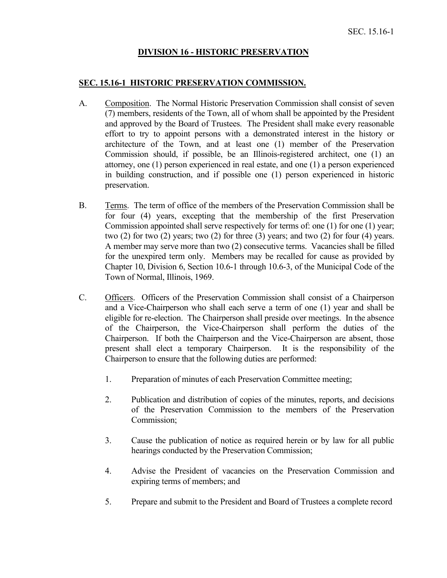### **DIVISION 16 - HISTORIC PRESERVATION**

#### **SEC. 15.16-1 HISTORIC PRESERVATION COMMISSION.**

- A. Composition. The Normal Historic Preservation Commission shall consist of seven (7) members, residents of the Town, all of whom shall be appointed by the President and approved by the Board of Trustees. The President shall make every reasonable effort to try to appoint persons with a demonstrated interest in the history or architecture of the Town, and at least one (1) member of the Preservation Commission should, if possible, be an Illinois-registered architect, one (1) an attorney, one (1) person experienced in real estate, and one (1) a person experienced in building construction, and if possible one (1) person experienced in historic preservation.
- B. Terms. The term of office of the members of the Preservation Commission shall be for four (4) years, excepting that the membership of the first Preservation Commission appointed shall serve respectively for terms of: one (1) for one (1) year; two  $(2)$  for two  $(2)$  years; two  $(2)$  for three  $(3)$  years; and two  $(2)$  for four  $(4)$  years. A member may serve more than two (2) consecutive terms. Vacancies shall be filled for the unexpired term only. Members may be recalled for cause as provided by Chapter 10, Division 6, Section 10.6-1 through 10.6-3, of the Municipal Code of the Town of Normal, Illinois, 1969.
- C. Officers. Officers of the Preservation Commission shall consist of a Chairperson and a Vice-Chairperson who shall each serve a term of one (1) year and shall be eligible for re-election. The Chairperson shall preside over meetings. In the absence of the Chairperson, the Vice-Chairperson shall perform the duties of the Chairperson. If both the Chairperson and the Vice-Chairperson are absent, those present shall elect a temporary Chairperson. It is the responsibility of the Chairperson to ensure that the following duties are performed:
	- 1. Preparation of minutes of each Preservation Committee meeting;
	- 2. Publication and distribution of copies of the minutes, reports, and decisions of the Preservation Commission to the members of the Preservation Commission;
	- 3. Cause the publication of notice as required herein or by law for all public hearings conducted by the Preservation Commission;
	- 4. Advise the President of vacancies on the Preservation Commission and expiring terms of members; and
	- 5. Prepare and submit to the President and Board of Trustees a complete record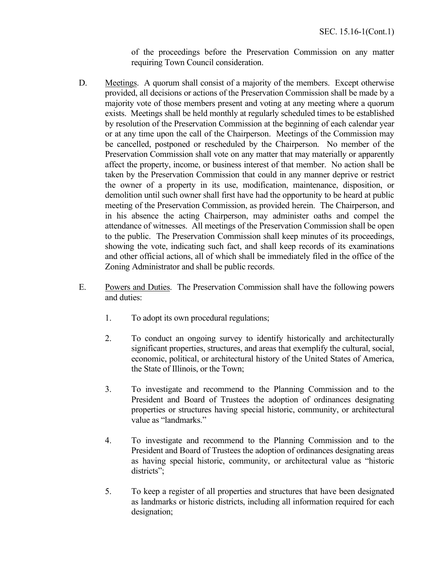of the proceedings before the Preservation Commission on any matter requiring Town Council consideration.

- D. Meetings. A quorum shall consist of a majority of the members. Except otherwise provided, all decisions or actions of the Preservation Commission shall be made by a majority vote of those members present and voting at any meeting where a quorum exists. Meetings shall be held monthly at regularly scheduled times to be established by resolution of the Preservation Commission at the beginning of each calendar year or at any time upon the call of the Chairperson. Meetings of the Commission may be cancelled, postponed or rescheduled by the Chairperson. No member of the Preservation Commission shall vote on any matter that may materially or apparently affect the property, income, or business interest of that member. No action shall be taken by the Preservation Commission that could in any manner deprive or restrict the owner of a property in its use, modification, maintenance, disposition, or demolition until such owner shall first have had the opportunity to be heard at public meeting of the Preservation Commission, as provided herein. The Chairperson, and in his absence the acting Chairperson, may administer oaths and compel the attendance of witnesses. All meetings of the Preservation Commission shall be open to the public. The Preservation Commission shall keep minutes of its proceedings, showing the vote, indicating such fact, and shall keep records of its examinations and other official actions, all of which shall be immediately filed in the office of the Zoning Administrator and shall be public records.
- E. Powers and Duties. The Preservation Commission shall have the following powers and duties:
	- 1. To adopt its own procedural regulations;
	- 2. To conduct an ongoing survey to identify historically and architecturally significant properties, structures, and areas that exemplify the cultural, social, economic, political, or architectural history of the United States of America, the State of Illinois, or the Town;
	- 3. To investigate and recommend to the Planning Commission and to the President and Board of Trustees the adoption of ordinances designating properties or structures having special historic, community, or architectural value as "landmarks."
	- 4. To investigate and recommend to the Planning Commission and to the President and Board of Trustees the adoption of ordinances designating areas as having special historic, community, or architectural value as "historic districts";
	- 5. To keep a register of all properties and structures that have been designated as landmarks or historic districts, including all information required for each designation;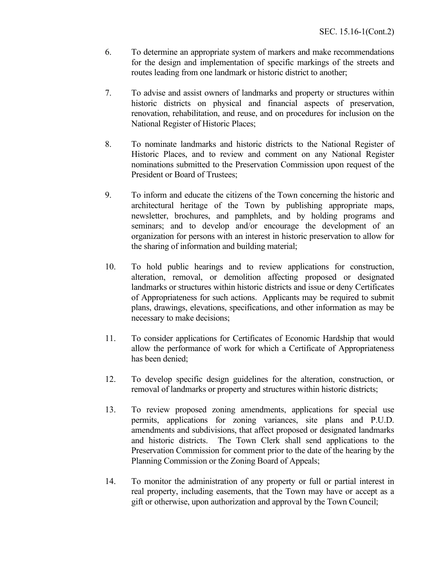- 6. To determine an appropriate system of markers and make recommendations for the design and implementation of specific markings of the streets and routes leading from one landmark or historic district to another;
- 7. To advise and assist owners of landmarks and property or structures within historic districts on physical and financial aspects of preservation, renovation, rehabilitation, and reuse, and on procedures for inclusion on the National Register of Historic Places;
- 8. To nominate landmarks and historic districts to the National Register of Historic Places, and to review and comment on any National Register nominations submitted to the Preservation Commission upon request of the President or Board of Trustees;
- 9. To inform and educate the citizens of the Town concerning the historic and architectural heritage of the Town by publishing appropriate maps, newsletter, brochures, and pamphlets, and by holding programs and seminars; and to develop and/or encourage the development of an organization for persons with an interest in historic preservation to allow for the sharing of information and building material;
- 10. To hold public hearings and to review applications for construction, alteration, removal, or demolition affecting proposed or designated landmarks or structures within historic districts and issue or deny Certificates of Appropriateness for such actions. Applicants may be required to submit plans, drawings, elevations, specifications, and other information as may be necessary to make decisions;
- 11. To consider applications for Certificates of Economic Hardship that would allow the performance of work for which a Certificate of Appropriateness has been denied;
- 12. To develop specific design guidelines for the alteration, construction, or removal of landmarks or property and structures within historic districts;
- 13. To review proposed zoning amendments, applications for special use permits, applications for zoning variances, site plans and P.U.D. amendments and subdivisions, that affect proposed or designated landmarks and historic districts. The Town Clerk shall send applications to the Preservation Commission for comment prior to the date of the hearing by the Planning Commission or the Zoning Board of Appeals;
- 14. To monitor the administration of any property or full or partial interest in real property, including easements, that the Town may have or accept as a gift or otherwise, upon authorization and approval by the Town Council;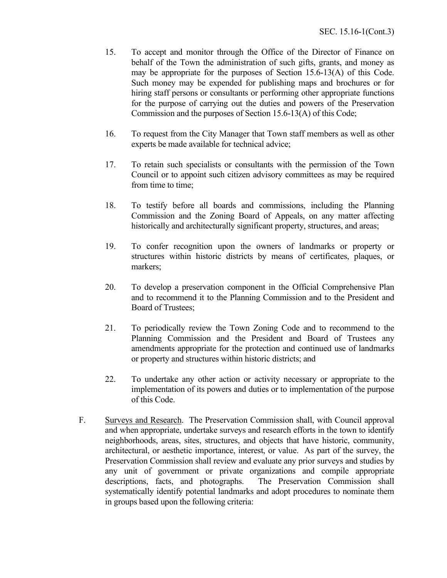- 15. To accept and monitor through the Office of the Director of Finance on behalf of the Town the administration of such gifts, grants, and money as may be appropriate for the purposes of Section 15.6-13(A) of this Code. Such money may be expended for publishing maps and brochures or for hiring staff persons or consultants or performing other appropriate functions for the purpose of carrying out the duties and powers of the Preservation Commission and the purposes of Section 15.6-13(A) of this Code;
- 16. To request from the City Manager that Town staff members as well as other experts be made available for technical advice;
- 17. To retain such specialists or consultants with the permission of the Town Council or to appoint such citizen advisory committees as may be required from time to time;
- 18. To testify before all boards and commissions, including the Planning Commission and the Zoning Board of Appeals, on any matter affecting historically and architecturally significant property, structures, and areas;
- 19. To confer recognition upon the owners of landmarks or property or structures within historic districts by means of certificates, plaques, or markers;
- 20. To develop a preservation component in the Official Comprehensive Plan and to recommend it to the Planning Commission and to the President and Board of Trustees;
- 21. To periodically review the Town Zoning Code and to recommend to the Planning Commission and the President and Board of Trustees any amendments appropriate for the protection and continued use of landmarks or property and structures within historic districts; and
- 22. To undertake any other action or activity necessary or appropriate to the implementation of its powers and duties or to implementation of the purpose of this Code.
- F. Surveys and Research. The Preservation Commission shall, with Council approval and when appropriate, undertake surveys and research efforts in the town to identify neighborhoods, areas, sites, structures, and objects that have historic, community, architectural, or aesthetic importance, interest, or value. As part of the survey, the Preservation Commission shall review and evaluate any prior surveys and studies by any unit of government or private organizations and compile appropriate descriptions, facts, and photographs. The Preservation Commission shall systematically identify potential landmarks and adopt procedures to nominate them in groups based upon the following criteria: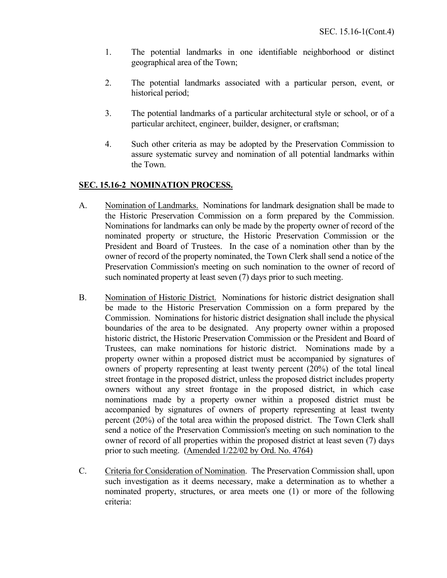- 1. The potential landmarks in one identifiable neighborhood or distinct geographical area of the Town;
- 2. The potential landmarks associated with a particular person, event, or historical period;
- 3. The potential landmarks of a particular architectural style or school, or of a particular architect, engineer, builder, designer, or craftsman;
- 4. Such other criteria as may be adopted by the Preservation Commission to assure systematic survey and nomination of all potential landmarks within the Town.

## **SEC. 15.16-2 NOMINATION PROCESS.**

- A. Nomination of Landmarks. Nominations for landmark designation shall be made to the Historic Preservation Commission on a form prepared by the Commission. Nominations for landmarks can only be made by the property owner of record of the nominated property or structure, the Historic Preservation Commission or the President and Board of Trustees. In the case of a nomination other than by the owner of record of the property nominated, the Town Clerk shall send a notice of the Preservation Commission's meeting on such nomination to the owner of record of such nominated property at least seven (7) days prior to such meeting.
- B. Nomination of Historic District. Nominations for historic district designation shall be made to the Historic Preservation Commission on a form prepared by the Commission. Nominations for historic district designation shall include the physical boundaries of the area to be designated. Any property owner within a proposed historic district, the Historic Preservation Commission or the President and Board of Trustees, can make nominations for historic district. Nominations made by a property owner within a proposed district must be accompanied by signatures of owners of property representing at least twenty percent (20%) of the total lineal street frontage in the proposed district, unless the proposed district includes property owners without any street frontage in the proposed district, in which case nominations made by a property owner within a proposed district must be accompanied by signatures of owners of property representing at least twenty percent (20%) of the total area within the proposed district. The Town Clerk shall send a notice of the Preservation Commission's meeting on such nomination to the owner of record of all properties within the proposed district at least seven (7) days prior to such meeting. (Amended 1/22/02 by Ord. No. 4764)
- C. Criteria for Consideration of Nomination. The Preservation Commission shall, upon such investigation as it deems necessary, make a determination as to whether a nominated property, structures, or area meets one (1) or more of the following criteria: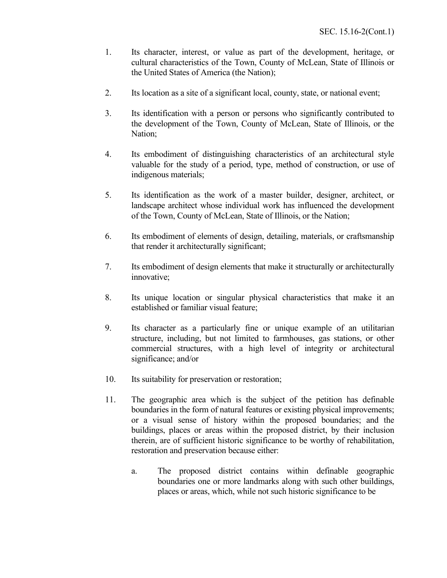- 1. Its character, interest, or value as part of the development, heritage, or cultural characteristics of the Town, County of McLean, State of Illinois or the United States of America (the Nation);
- 2. Its location as a site of a significant local, county, state, or national event;
- 3. Its identification with a person or persons who significantly contributed to the development of the Town, County of McLean, State of Illinois, or the Nation;
- 4. Its embodiment of distinguishing characteristics of an architectural style valuable for the study of a period, type, method of construction, or use of indigenous materials;
- 5. Its identification as the work of a master builder, designer, architect, or landscape architect whose individual work has influenced the development of the Town, County of McLean, State of Illinois, or the Nation;
- 6. Its embodiment of elements of design, detailing, materials, or craftsmanship that render it architecturally significant;
- 7. Its embodiment of design elements that make it structurally or architecturally innovative;
- 8. Its unique location or singular physical characteristics that make it an established or familiar visual feature;
- 9. Its character as a particularly fine or unique example of an utilitarian structure, including, but not limited to farmhouses, gas stations, or other commercial structures, with a high level of integrity or architectural significance; and/or
- 10. Its suitability for preservation or restoration;
- 11. The geographic area which is the subject of the petition has definable boundaries in the form of natural features or existing physical improvements; or a visual sense of history within the proposed boundaries; and the buildings, places or areas within the proposed district, by their inclusion therein, are of sufficient historic significance to be worthy of rehabilitation, restoration and preservation because either:
	- a. The proposed district contains within definable geographic boundaries one or more landmarks along with such other buildings, places or areas, which, while not such historic significance to be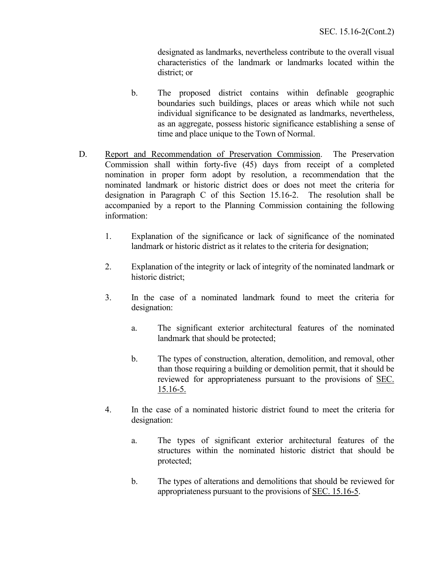designated as landmarks, nevertheless contribute to the overall visual characteristics of the landmark or landmarks located within the district; or

- b. The proposed district contains within definable geographic boundaries such buildings, places or areas which while not such individual significance to be designated as landmarks, nevertheless, as an aggregate, possess historic significance establishing a sense of time and place unique to the Town of Normal.
- D. Report and Recommendation of Preservation Commission. The Preservation Commission shall within forty-five (45) days from receipt of a completed nomination in proper form adopt by resolution, a recommendation that the nominated landmark or historic district does or does not meet the criteria for designation in Paragraph C of this Section 15.16-2. The resolution shall be accompanied by a report to the Planning Commission containing the following information:
	- 1. Explanation of the significance or lack of significance of the nominated landmark or historic district as it relates to the criteria for designation;
	- 2. Explanation of the integrity or lack of integrity of the nominated landmark or historic district;
	- 3. In the case of a nominated landmark found to meet the criteria for designation:
		- a. The significant exterior architectural features of the nominated landmark that should be protected;
		- b. The types of construction, alteration, demolition, and removal, other than those requiring a building or demolition permit, that it should be reviewed for appropriateness pursuant to the provisions of SEC. 15.16-5.
	- 4. In the case of a nominated historic district found to meet the criteria for designation:
		- a. The types of significant exterior architectural features of the structures within the nominated historic district that should be protected;
		- b. The types of alterations and demolitions that should be reviewed for appropriateness pursuant to the provisions of SEC. 15.16-5.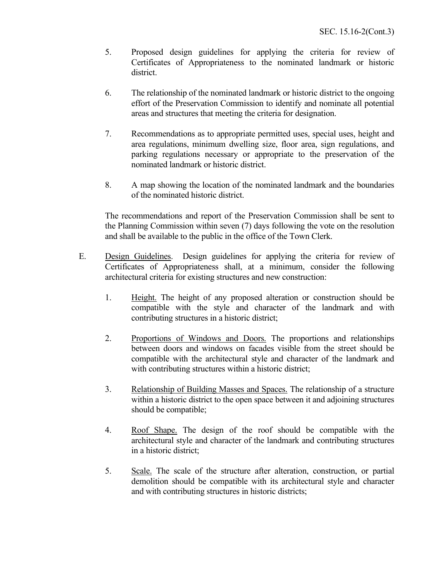- 5. Proposed design guidelines for applying the criteria for review of Certificates of Appropriateness to the nominated landmark or historic district.
- 6. The relationship of the nominated landmark or historic district to the ongoing effort of the Preservation Commission to identify and nominate all potential areas and structures that meeting the criteria for designation.
- 7. Recommendations as to appropriate permitted uses, special uses, height and area regulations, minimum dwelling size, floor area, sign regulations, and parking regulations necessary or appropriate to the preservation of the nominated landmark or historic district.
- 8. A map showing the location of the nominated landmark and the boundaries of the nominated historic district.

The recommendations and report of the Preservation Commission shall be sent to the Planning Commission within seven (7) days following the vote on the resolution and shall be available to the public in the office of the Town Clerk.

- E. Design Guidelines. Design guidelines for applying the criteria for review of Certificates of Appropriateness shall, at a minimum, consider the following architectural criteria for existing structures and new construction:
	- 1. Height. The height of any proposed alteration or construction should be compatible with the style and character of the landmark and with contributing structures in a historic district;
	- 2. Proportions of Windows and Doors. The proportions and relationships between doors and windows on facades visible from the street should be compatible with the architectural style and character of the landmark and with contributing structures within a historic district;
	- 3. Relationship of Building Masses and Spaces. The relationship of a structure within a historic district to the open space between it and adjoining structures should be compatible;
	- 4. Roof Shape. The design of the roof should be compatible with the architectural style and character of the landmark and contributing structures in a historic district;
	- 5. Scale. The scale of the structure after alteration, construction, or partial demolition should be compatible with its architectural style and character and with contributing structures in historic districts;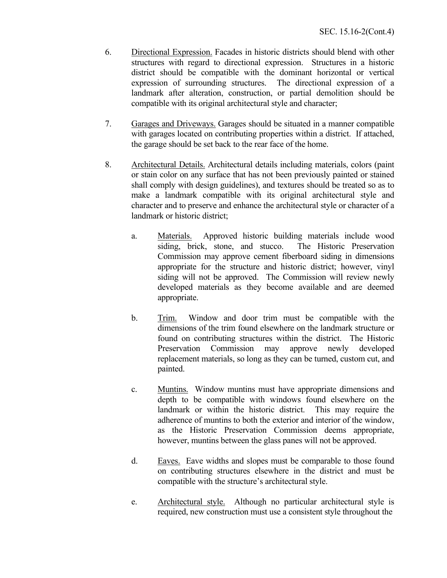- 6. Directional Expression. Facades in historic districts should blend with other structures with regard to directional expression. Structures in a historic district should be compatible with the dominant horizontal or vertical expression of surrounding structures. The directional expression of a landmark after alteration, construction, or partial demolition should be compatible with its original architectural style and character;
- 7. Garages and Driveways. Garages should be situated in a manner compatible with garages located on contributing properties within a district. If attached, the garage should be set back to the rear face of the home.
- 8. Architectural Details. Architectural details including materials, colors (paint or stain color on any surface that has not been previously painted or stained shall comply with design guidelines), and textures should be treated so as to make a landmark compatible with its original architectural style and character and to preserve and enhance the architectural style or character of a landmark or historic district;
	- a. Materials. Approved historic building materials include wood siding, brick, stone, and stucco. The Historic Preservation Commission may approve cement fiberboard siding in dimensions appropriate for the structure and historic district; however, vinyl siding will not be approved. The Commission will review newly developed materials as they become available and are deemed appropriate.
	- b. Trim. Window and door trim must be compatible with the dimensions of the trim found elsewhere on the landmark structure or found on contributing structures within the district. The Historic Preservation Commission may approve newly developed replacement materials, so long as they can be turned, custom cut, and painted.
	- c. Muntins. Window muntins must have appropriate dimensions and depth to be compatible with windows found elsewhere on the landmark or within the historic district. This may require the adherence of muntins to both the exterior and interior of the window, as the Historic Preservation Commission deems appropriate, however, muntins between the glass panes will not be approved.
	- d. Eaves. Eave widths and slopes must be comparable to those found on contributing structures elsewhere in the district and must be compatible with the structure's architectural style.
	- e. Architectural style. Although no particular architectural style is required, new construction must use a consistent style throughout the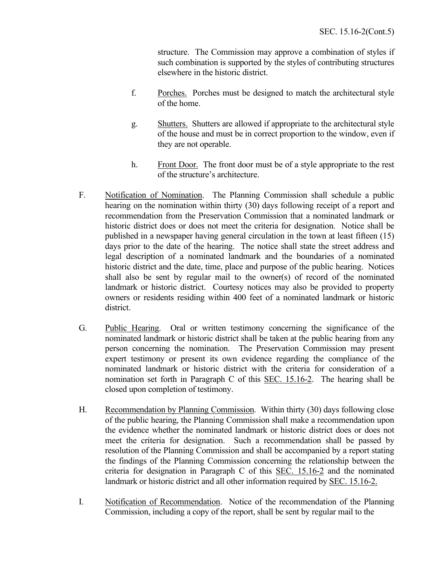structure. The Commission may approve a combination of styles if such combination is supported by the styles of contributing structures elsewhere in the historic district.

- f. Porches. Porches must be designed to match the architectural style of the home.
- g. Shutters. Shutters are allowed if appropriate to the architectural style of the house and must be in correct proportion to the window, even if they are not operable.
- h. Front Door. The front door must be of a style appropriate to the rest of the structure's architecture.
- F. Notification of Nomination. The Planning Commission shall schedule a public hearing on the nomination within thirty (30) days following receipt of a report and recommendation from the Preservation Commission that a nominated landmark or historic district does or does not meet the criteria for designation. Notice shall be published in a newspaper having general circulation in the town at least fifteen (15) days prior to the date of the hearing. The notice shall state the street address and legal description of a nominated landmark and the boundaries of a nominated historic district and the date, time, place and purpose of the public hearing. Notices shall also be sent by regular mail to the owner(s) of record of the nominated landmark or historic district. Courtesy notices may also be provided to property owners or residents residing within 400 feet of a nominated landmark or historic district.
- G. Public Hearing. Oral or written testimony concerning the significance of the nominated landmark or historic district shall be taken at the public hearing from any person concerning the nomination. The Preservation Commission may present expert testimony or present its own evidence regarding the compliance of the nominated landmark or historic district with the criteria for consideration of a nomination set forth in Paragraph C of this SEC. 15.16-2. The hearing shall be closed upon completion of testimony.
- H. Recommendation by Planning Commission. Within thirty (30) days following close of the public hearing, the Planning Commission shall make a recommendation upon the evidence whether the nominated landmark or historic district does or does not meet the criteria for designation. Such a recommendation shall be passed by resolution of the Planning Commission and shall be accompanied by a report stating the findings of the Planning Commission concerning the relationship between the criteria for designation in Paragraph C of this SEC. 15.16-2 and the nominated landmark or historic district and all other information required by SEC. 15.16-2.
- I. Notification of Recommendation. Notice of the recommendation of the Planning Commission, including a copy of the report, shall be sent by regular mail to the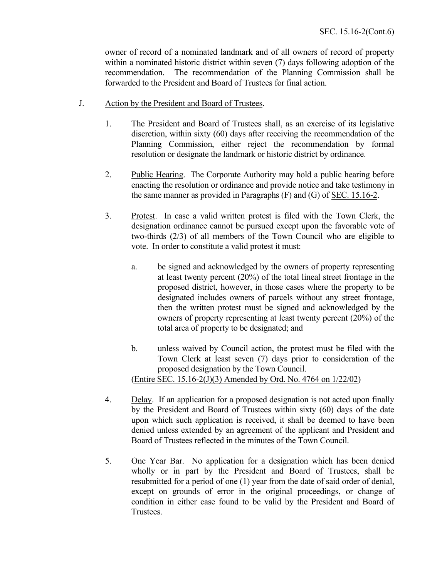owner of record of a nominated landmark and of all owners of record of property within a nominated historic district within seven (7) days following adoption of the recommendation. The recommendation of the Planning Commission shall be forwarded to the President and Board of Trustees for final action.

- J. Action by the President and Board of Trustees.
	- 1. The President and Board of Trustees shall, as an exercise of its legislative discretion, within sixty (60) days after receiving the recommendation of the Planning Commission, either reject the recommendation by formal resolution or designate the landmark or historic district by ordinance.
	- 2. Public Hearing. The Corporate Authority may hold a public hearing before enacting the resolution or ordinance and provide notice and take testimony in the same manner as provided in Paragraphs (F) and (G) of SEC. 15.16-2.
	- 3. Protest. In case a valid written protest is filed with the Town Clerk, the designation ordinance cannot be pursued except upon the favorable vote of two-thirds (2/3) of all members of the Town Council who are eligible to vote. In order to constitute a valid protest it must:
		- a. be signed and acknowledged by the owners of property representing at least twenty percent (20%) of the total lineal street frontage in the proposed district, however, in those cases where the property to be designated includes owners of parcels without any street frontage, then the written protest must be signed and acknowledged by the owners of property representing at least twenty percent (20%) of the total area of property to be designated; and
		- b. unless waived by Council action, the protest must be filed with the Town Clerk at least seven (7) days prior to consideration of the proposed designation by the Town Council. (Entire SEC. 15.16-2(J)(3) Amended by Ord. No. 4764 on 1/22/02)
	- 4. Delay. If an application for a proposed designation is not acted upon finally by the President and Board of Trustees within sixty (60) days of the date upon which such application is received, it shall be deemed to have been denied unless extended by an agreement of the applicant and President and Board of Trustees reflected in the minutes of the Town Council.
	- 5. One Year Bar. No application for a designation which has been denied wholly or in part by the President and Board of Trustees, shall be resubmitted for a period of one (1) year from the date of said order of denial, except on grounds of error in the original proceedings, or change of condition in either case found to be valid by the President and Board of Trustees.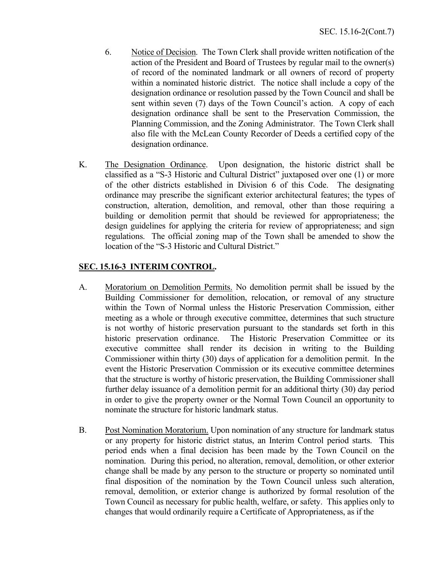- 6. Notice of Decision. The Town Clerk shall provide written notification of the action of the President and Board of Trustees by regular mail to the owner(s) of record of the nominated landmark or all owners of record of property within a nominated historic district. The notice shall include a copy of the designation ordinance or resolution passed by the Town Council and shall be sent within seven (7) days of the Town Council's action. A copy of each designation ordinance shall be sent to the Preservation Commission, the Planning Commission, and the Zoning Administrator. The Town Clerk shall also file with the McLean County Recorder of Deeds a certified copy of the designation ordinance.
- K. The Designation Ordinance. Upon designation, the historic district shall be classified as a "S-3 Historic and Cultural District" juxtaposed over one (1) or more of the other districts established in Division 6 of this Code. The designating ordinance may prescribe the significant exterior architectural features; the types of construction, alteration, demolition, and removal, other than those requiring a building or demolition permit that should be reviewed for appropriateness; the design guidelines for applying the criteria for review of appropriateness; and sign regulations. The official zoning map of the Town shall be amended to show the location of the "S-3 Historic and Cultural District."

## **SEC. 15.16-3 INTERIM CONTROL.**

- A. Moratorium on Demolition Permits. No demolition permit shall be issued by the Building Commissioner for demolition, relocation, or removal of any structure within the Town of Normal unless the Historic Preservation Commission, either meeting as a whole or through executive committee, determines that such structure is not worthy of historic preservation pursuant to the standards set forth in this historic preservation ordinance. The Historic Preservation Committee or its executive committee shall render its decision in writing to the Building Commissioner within thirty (30) days of application for a demolition permit. In the event the Historic Preservation Commission or its executive committee determines that the structure is worthy of historic preservation, the Building Commissioner shall further delay issuance of a demolition permit for an additional thirty (30) day period in order to give the property owner or the Normal Town Council an opportunity to nominate the structure for historic landmark status.
- B. Post Nomination Moratorium. Upon nomination of any structure for landmark status or any property for historic district status, an Interim Control period starts. This period ends when a final decision has been made by the Town Council on the nomination. During this period, no alteration, removal, demolition, or other exterior change shall be made by any person to the structure or property so nominated until final disposition of the nomination by the Town Council unless such alteration, removal, demolition, or exterior change is authorized by formal resolution of the Town Council as necessary for public health, welfare, or safety. This applies only to changes that would ordinarily require a Certificate of Appropriateness, as if the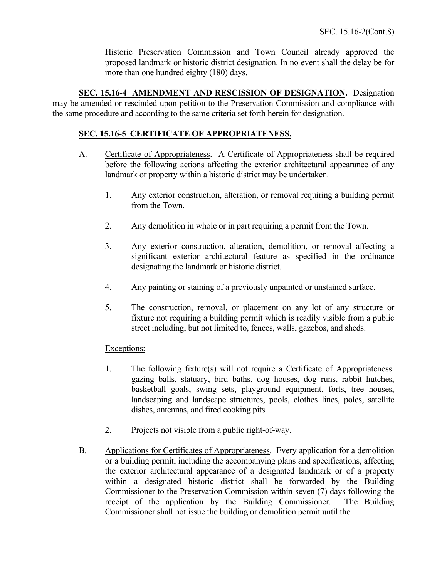Historic Preservation Commission and Town Council already approved the proposed landmark or historic district designation. In no event shall the delay be for more than one hundred eighty (180) days.

**SEC. 15.16-4 AMENDMENT AND RESCISSION OF DESIGNATION.** Designation may be amended or rescinded upon petition to the Preservation Commission and compliance with the same procedure and according to the same criteria set forth herein for designation.

### **SEC. 15.16-5 CERTIFICATE OF APPROPRIATENESS.**

- A. Certificate of Appropriateness. A Certificate of Appropriateness shall be required before the following actions affecting the exterior architectural appearance of any landmark or property within a historic district may be undertaken.
	- 1. Any exterior construction, alteration, or removal requiring a building permit from the Town.
	- 2. Any demolition in whole or in part requiring a permit from the Town.
	- 3. Any exterior construction, alteration, demolition, or removal affecting a significant exterior architectural feature as specified in the ordinance designating the landmark or historic district.
	- 4. Any painting or staining of a previously unpainted or unstained surface.
	- 5. The construction, removal, or placement on any lot of any structure or fixture not requiring a building permit which is readily visible from a public street including, but not limited to, fences, walls, gazebos, and sheds.

### Exceptions:

- 1. The following fixture(s) will not require a Certificate of Appropriateness: gazing balls, statuary, bird baths, dog houses, dog runs, rabbit hutches, basketball goals, swing sets, playground equipment, forts, tree houses, landscaping and landscape structures, pools, clothes lines, poles, satellite dishes, antennas, and fired cooking pits.
- 2. Projects not visible from a public right-of-way.
- B. Applications for Certificates of Appropriateness. Every application for a demolition or a building permit, including the accompanying plans and specifications, affecting the exterior architectural appearance of a designated landmark or of a property within a designated historic district shall be forwarded by the Building Commissioner to the Preservation Commission within seven (7) days following the receipt of the application by the Building Commissioner. The Building Commissioner shall not issue the building or demolition permit until the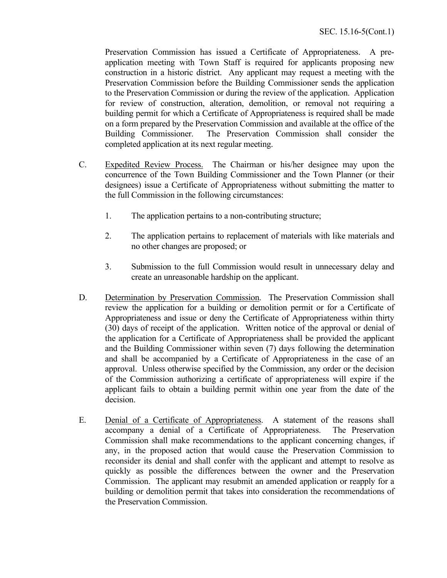Preservation Commission has issued a Certificate of Appropriateness. A preapplication meeting with Town Staff is required for applicants proposing new construction in a historic district. Any applicant may request a meeting with the Preservation Commission before the Building Commissioner sends the application to the Preservation Commission or during the review of the application. Application for review of construction, alteration, demolition, or removal not requiring a building permit for which a Certificate of Appropriateness is required shall be made on a form prepared by the Preservation Commission and available at the office of the Building Commissioner. The Preservation Commission shall consider the completed application at its next regular meeting.

- C. Expedited Review Process. The Chairman or his/her designee may upon the concurrence of the Town Building Commissioner and the Town Planner (or their designees) issue a Certificate of Appropriateness without submitting the matter to the full Commission in the following circumstances:
	- 1. The application pertains to a non-contributing structure;
	- 2. The application pertains to replacement of materials with like materials and no other changes are proposed; or
	- 3. Submission to the full Commission would result in unnecessary delay and create an unreasonable hardship on the applicant.
- D. Determination by Preservation Commission. The Preservation Commission shall review the application for a building or demolition permit or for a Certificate of Appropriateness and issue or deny the Certificate of Appropriateness within thirty (30) days of receipt of the application. Written notice of the approval or denial of the application for a Certificate of Appropriateness shall be provided the applicant and the Building Commissioner within seven (7) days following the determination and shall be accompanied by a Certificate of Appropriateness in the case of an approval. Unless otherwise specified by the Commission, any order or the decision of the Commission authorizing a certificate of appropriateness will expire if the applicant fails to obtain a building permit within one year from the date of the decision.
- E. Denial of a Certificate of Appropriateness. A statement of the reasons shall accompany a denial of a Certificate of Appropriateness. The Preservation Commission shall make recommendations to the applicant concerning changes, if any, in the proposed action that would cause the Preservation Commission to reconsider its denial and shall confer with the applicant and attempt to resolve as quickly as possible the differences between the owner and the Preservation Commission. The applicant may resubmit an amended application or reapply for a building or demolition permit that takes into consideration the recommendations of the Preservation Commission.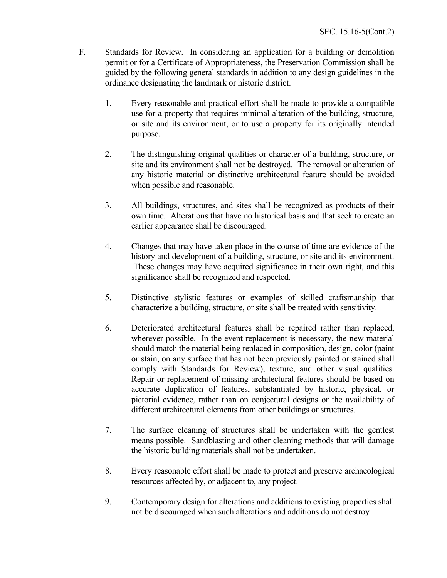- F. Standards for Review. In considering an application for a building or demolition permit or for a Certificate of Appropriateness, the Preservation Commission shall be guided by the following general standards in addition to any design guidelines in the ordinance designating the landmark or historic district.
	- 1. Every reasonable and practical effort shall be made to provide a compatible use for a property that requires minimal alteration of the building, structure, or site and its environment, or to use a property for its originally intended purpose.
	- 2. The distinguishing original qualities or character of a building, structure, or site and its environment shall not be destroyed. The removal or alteration of any historic material or distinctive architectural feature should be avoided when possible and reasonable.
	- 3. All buildings, structures, and sites shall be recognized as products of their own time. Alterations that have no historical basis and that seek to create an earlier appearance shall be discouraged.
	- 4. Changes that may have taken place in the course of time are evidence of the history and development of a building, structure, or site and its environment. These changes may have acquired significance in their own right, and this significance shall be recognized and respected.
	- 5. Distinctive stylistic features or examples of skilled craftsmanship that characterize a building, structure, or site shall be treated with sensitivity.
	- 6. Deteriorated architectural features shall be repaired rather than replaced, wherever possible. In the event replacement is necessary, the new material should match the material being replaced in composition, design, color (paint or stain, on any surface that has not been previously painted or stained shall comply with Standards for Review), texture, and other visual qualities. Repair or replacement of missing architectural features should be based on accurate duplication of features, substantiated by historic, physical, or pictorial evidence, rather than on conjectural designs or the availability of different architectural elements from other buildings or structures.
	- 7. The surface cleaning of structures shall be undertaken with the gentlest means possible. Sandblasting and other cleaning methods that will damage the historic building materials shall not be undertaken.
	- 8. Every reasonable effort shall be made to protect and preserve archaeological resources affected by, or adjacent to, any project.
	- 9. Contemporary design for alterations and additions to existing properties shall not be discouraged when such alterations and additions do not destroy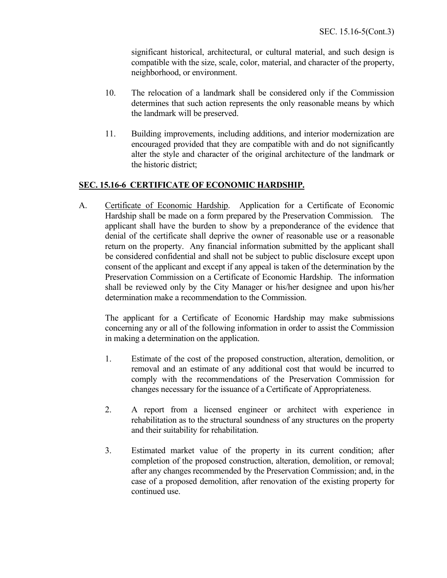significant historical, architectural, or cultural material, and such design is compatible with the size, scale, color, material, and character of the property, neighborhood, or environment.

- 10. The relocation of a landmark shall be considered only if the Commission determines that such action represents the only reasonable means by which the landmark will be preserved.
- 11. Building improvements, including additions, and interior modernization are encouraged provided that they are compatible with and do not significantly alter the style and character of the original architecture of the landmark or the historic district;

# **SEC. 15.16-6 CERTIFICATE OF ECONOMIC HARDSHIP.**

A. Certificate of Economic Hardship. Application for a Certificate of Economic Hardship shall be made on a form prepared by the Preservation Commission. The applicant shall have the burden to show by a preponderance of the evidence that denial of the certificate shall deprive the owner of reasonable use or a reasonable return on the property. Any financial information submitted by the applicant shall be considered confidential and shall not be subject to public disclosure except upon consent of the applicant and except if any appeal is taken of the determination by the Preservation Commission on a Certificate of Economic Hardship. The information shall be reviewed only by the City Manager or his/her designee and upon his/her determination make a recommendation to the Commission.

The applicant for a Certificate of Economic Hardship may make submissions concerning any or all of the following information in order to assist the Commission in making a determination on the application.

- 1. Estimate of the cost of the proposed construction, alteration, demolition, or removal and an estimate of any additional cost that would be incurred to comply with the recommendations of the Preservation Commission for changes necessary for the issuance of a Certificate of Appropriateness.
- 2. A report from a licensed engineer or architect with experience in rehabilitation as to the structural soundness of any structures on the property and their suitability for rehabilitation.
- 3. Estimated market value of the property in its current condition; after completion of the proposed construction, alteration, demolition, or removal; after any changes recommended by the Preservation Commission; and, in the case of a proposed demolition, after renovation of the existing property for continued use.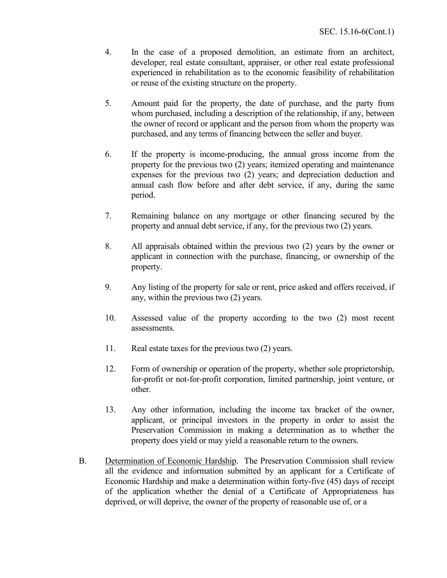- 4. In the case of a proposed demolition, an estimate from an architect, developer, real estate consultant, appraiser, or other real estate professional experienced in rehabilitation as to the economic feasibility of rehabilitation or reuse of the existing structure on the property.
- 5. Amount paid for the property, the date of purchase, and the party from whom purchased, including a description of the relationship, if any, between the owner of record or applicant and the person from whom the property was purchased, and any terms of financing between the seller and buyer.
- 6. If the property is income-producing, the annual gross income from the property for the previous two (2) years; itemized operating and maintenance expenses for the previous two (2) years; and depreciation deduction and annual cash flow before and after debt service, if any, during the same period.
- 7. Remaining balance on any mortgage or other financing secured by the property and annual debt service, if any, for the previous two (2) years.
- 8. All appraisals obtained within the previous two (2) years by the owner or applicant in connection with the purchase, financing, or ownership of the property.
- 9. Any listing of the property for sale or rent, price asked and offers received, if any, within the previous two (2) years.
- 10. Assessed value of the property according to the two (2) most recent assessments.
- 11. Real estate taxes for the previous two (2) years.
- 12. Form of ownership or operation of the property, whether sole proprietorship, for-profit or not-for-profit corporation, limited partnership, joint venture, or other.
- 13. Any other information, including the income tax bracket of the owner, applicant, or principal investors in the property in order to assist the Preservation Commission in making a determination as to whether the property does yield or may yield a reasonable return to the owners.
- B. Determination of Economic Hardship. The Preservation Commission shall review all the evidence and information submitted by an applicant for a Certificate of Economic Hardship and make a determination within forty-five (45) days of receipt of the application whether the denial of a Certificate of Appropriateness has deprived, or will deprive, the owner of the property of reasonable use of, or a